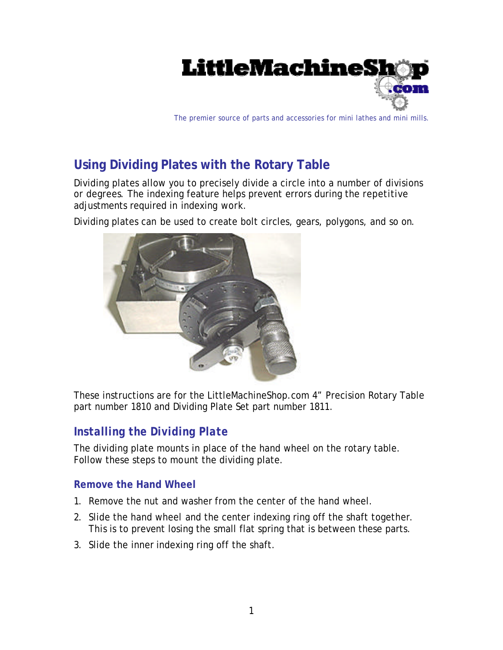

The premier source of parts and accessories for mini lathes and mini mills.

# **Using Dividing Plates with the Rotary Table**

Dividing plates allow you to precisely divide a circle into a number of divisions or degrees. The indexing feature helps prevent errors during the repetitive adjustments required in indexing work.

Dividing plates can be used to create bolt circles, gears, polygons, and so on.



These instructions are for the LittleMachineShop.com 4" Precision Rotary Table part number 1810 and Dividing Plate Set part number 1811.

# *Installing the Dividing Plate*

The dividing plate mounts in place of the hand wheel on the rotary table. Follow these steps to mount the dividing plate.

#### **Remove the Hand Wheel**

- 1. Remove the nut and washer from the center of the hand wheel.
- 2. Slide the hand wheel and the center indexing ring off the shaft together. This is to prevent losing the small flat spring that is between these parts.
- 3. Slide the inner indexing ring off the shaft.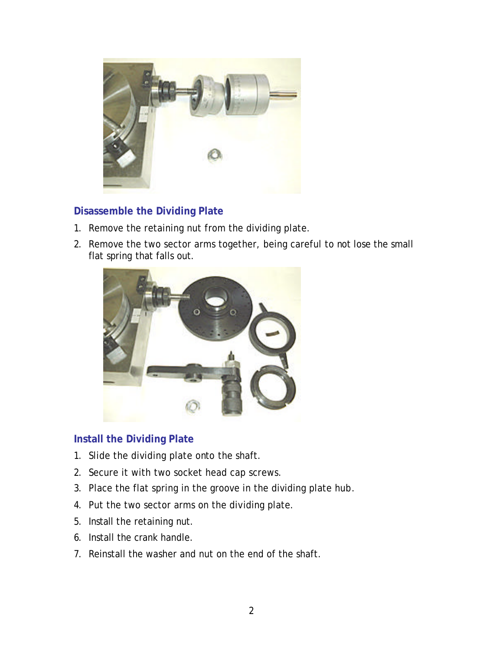

## **Disassemble the Dividing Plate**

- 1. Remove the retaining nut from the dividing plate.
- 2. Remove the two sector arms together, being careful to not lose the small flat spring that falls out.



### **Install the Dividing Plate**

- 1. Slide the dividing plate onto the shaft.
- 2. Secure it with two socket head cap screws.
- 3. Place the flat spring in the groove in the dividing plate hub.
- 4. Put the two sector arms on the dividing plate.
- 5. Install the retaining nut.
- 6. Install the crank handle.
- 7. Reinstall the washer and nut on the end of the shaft.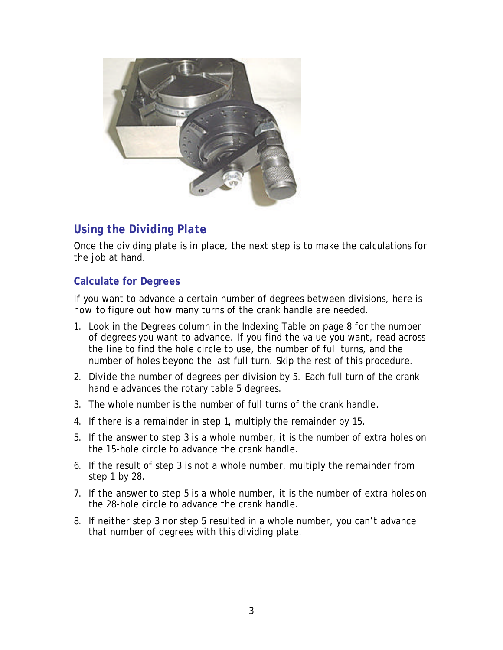

# *Using the Dividing Plate*

Once the dividing plate is in place, the next step is to make the calculations for the job at hand.

#### **Calculate for Degrees**

If you want to advance a certain number of degrees between divisions, here is how to figure out how many turns of the crank handle are needed.

- 1. Look in the Degrees column in the Indexing Table on page 8 for the number of degrees you want to advance. If you find the value you want, read across the line to find the hole circle to use, the number of full turns, and the number of holes beyond the last full turn. Skip the rest of this procedure.
- 2. Divide the number of degrees per division by 5. Each full turn of the crank handle advances the rotary table 5 degrees.
- 3. The whole number is the number of full turns of the crank handle.
- 4. If there is a remainder in step 1, multiply the remainder by 15.
- 5. If the answer to step 3 is a whole number, it is the number of extra holes on the 15-hole circle to advance the crank handle.
- 6. If the result of step 3 is not a whole number, multiply the remainder from step 1 by 28.
- 7. If the answer to step 5 is a whole number, it is the number of extra holes on the 28-hole circle to advance the crank handle.
- 8. If neither step 3 nor step 5 resulted in a whole number, you can't advance that number of degrees with this dividing plate.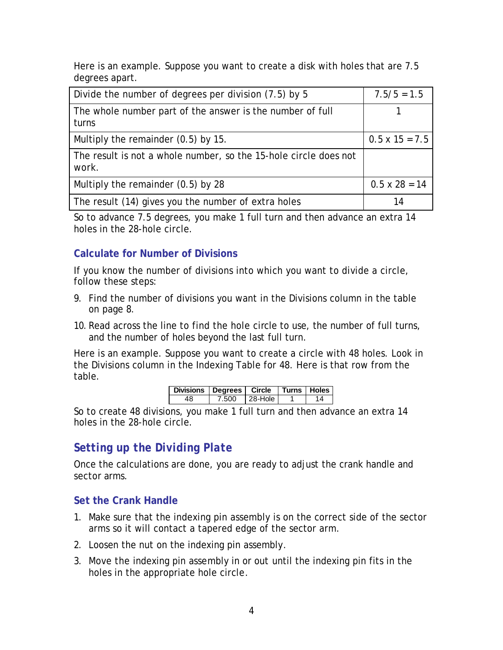Here is an example. Suppose you want to create a disk with holes that are 7.5 degrees apart.

| Divide the number of degrees per division (7.5) by 5                      | $7.5/5 = 1.5$         |
|---------------------------------------------------------------------------|-----------------------|
| The whole number part of the answer is the number of full<br>turns        |                       |
| Multiply the remainder $(0.5)$ by 15.                                     | $0.5 \times 15 = 7.5$ |
| The result is not a whole number, so the 15-hole circle does not<br>work. |                       |
| Multiply the remainder (0.5) by 28                                        | $0.5 \times 28 = 14$  |
| The result (14) gives you the number of extra holes                       | 14                    |

So to advance 7.5 degrees, you make 1 full turn and then advance an extra 14 holes in the 28-hole circle.

## **Calculate for Number of Divisions**

If you know the number of divisions into which you want to divide a circle, follow these steps:

- 9. Find the number of divisions you want in the Divisions column in the table on page 8.
- 10. Read across the line to find the hole circle to use, the number of full turns, and the number of holes beyond the last full turn.

Here is an example. Suppose you want to create a circle with 48 holes. Look in the Divisions column in the Indexing Table for 48. Here is that row from the table.

| Divisions   Degrees   Circle   Turns   Holes |       |           |  |
|----------------------------------------------|-------|-----------|--|
|                                              | 7.500 | l 28-Hole |  |

So to create 48 divisions, you make 1 full turn and then advance an extra 14 holes in the 28-hole circle.

# *Setting up the Dividing Plate*

Once the calculations are done, you are ready to adjust the crank handle and sector arms.

#### **Set the Crank Handle**

- 1. Make sure that the indexing pin assembly is on the correct side of the sector arms so it will contact a tapered edge of the sector arm.
- 2. Loosen the nut on the indexing pin assembly.
- 3. Move the indexing pin assembly in or out until the indexing pin fits in the holes in the appropriate hole circle.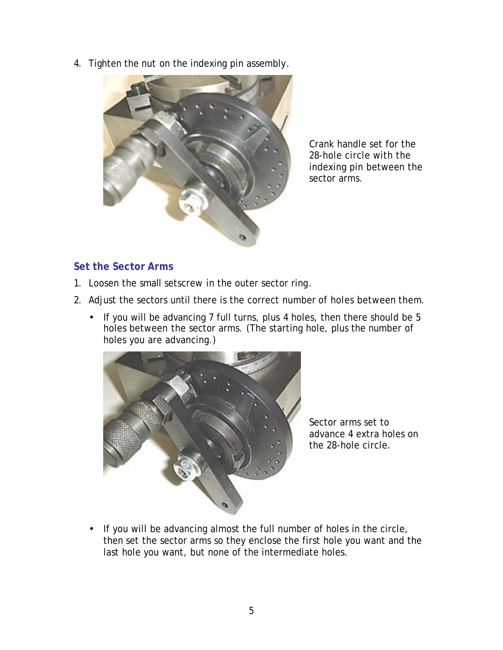4. Tighten the nut on the indexing pin assembly.



Crank handle set for the 28-hole circle with the indexing pin between the sector arms.

### **Set the Sector Arms**

- 1. Loosen the small setscrew in the outer sector ring.
- 2. Adjust the sectors until there is the correct number of holes between them.
	- If you will be advancing 7 full turns, plus 4 holes, then there should be 5 holes between the sector arms. (The starting hole, plus the number of holes you are advancing.)



Sector arms set to advance 4 extra holes on the 28-hole circle.

• If you will be advancing almost the full number of holes in the circle, then set the sector arms so they enclose the first hole you want and the last hole you want, but none of the intermediate holes.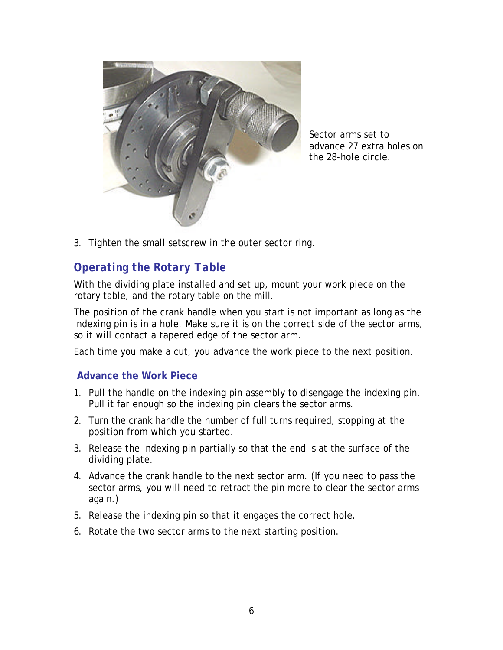

Sector arms set to advance 27 extra holes on the 28-hole circle.

3. Tighten the small setscrew in the outer sector ring.

# *Operating the Rotary Table*

With the dividing plate installed and set up, mount your work piece on the rotary table, and the rotary table on the mill.

The position of the crank handle when you start is not important as long as the indexing pin is in a hole. Make sure it is on the correct side of the sector arms, so it will contact a tapered edge of the sector arm.

Each time you make a cut, you advance the work piece to the next position.

#### **Advance the Work Piece**

- 1. Pull the handle on the indexing pin assembly to disengage the indexing pin. Pull it far enough so the indexing pin clears the sector arms.
- 2. Turn the crank handle the number of full turns required, stopping at the position from which you started.
- 3. Release the indexing pin partially so that the end is at the surface of the dividing plate.
- 4. Advance the crank handle to the next sector arm. (If you need to pass the sector arms, you will need to retract the pin more to clear the sector arms again.)
- 5. Release the indexing pin so that it engages the correct hole.
- 6. Rotate the two sector arms to the next starting position.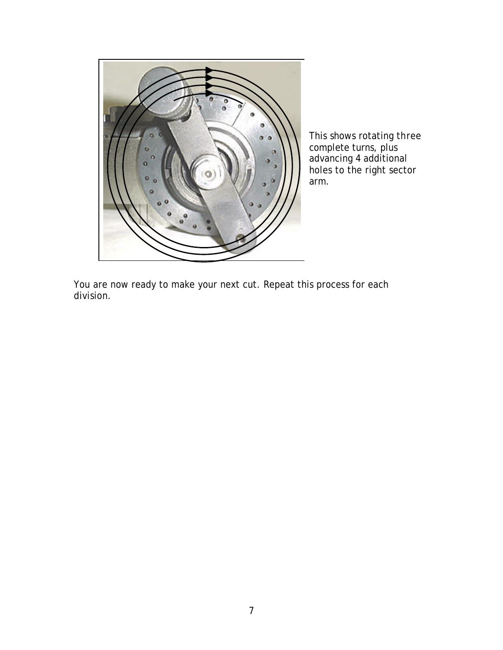

This shows rotating three complete turns, plus advancing 4 additional holes to the right sector arm.

You are now ready to make your next cut. Repeat this process for each division.